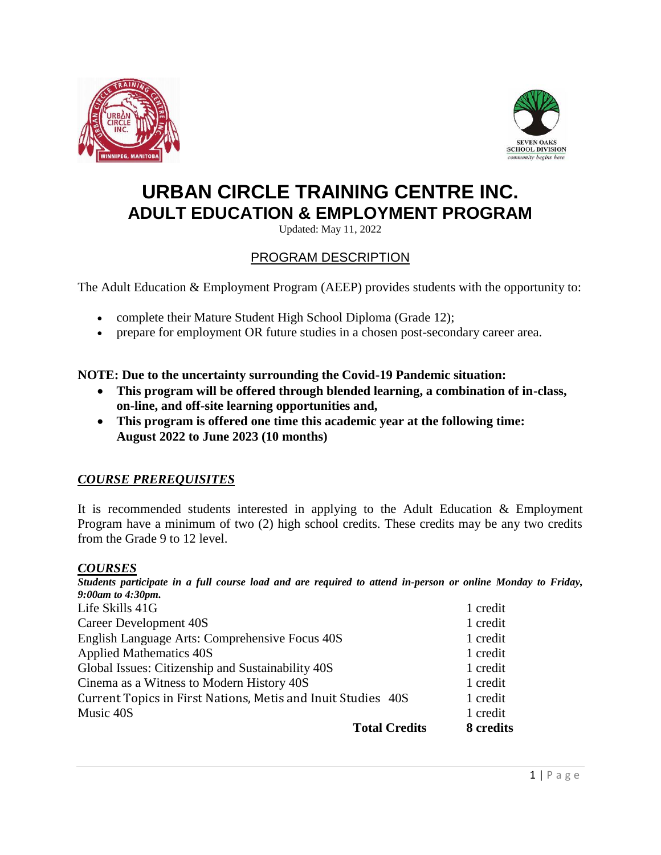



# **URBAN CIRCLE TRAINING CENTRE INC. ADULT EDUCATION & EMPLOYMENT PROGRAM**

Updated: May 11, 2022

# PROGRAM DESCRIPTION

The Adult Education & Employment Program (AEEP) provides students with the opportunity to:

- complete their Mature Student High School Diploma (Grade 12);
- prepare for employment OR future studies in a chosen post-secondary career area.

**NOTE: Due to the uncertainty surrounding the Covid-19 Pandemic situation:**

- **This program will be offered through blended learning, a combination of in-class, on-line, and off-site learning opportunities and,**
- **This program is offered one time this academic year at the following time: August 2022 to June 2023 (10 months)**

## *COURSE PREREQUISITES*

It is recommended students interested in applying to the Adult Education & Employment Program have a minimum of two (2) high school credits. These credits may be any two credits from the Grade 9 to 12 level.

#### *COURSES*

*Students participate in a full course load and are required to attend in-person or online Monday to Friday, 9:00am to 4:30pm.*

| <b>Total Credits</b>                                         | 8 credits |
|--------------------------------------------------------------|-----------|
| Music 40S                                                    | 1 credit  |
| Current Topics in First Nations, Metis and Inuit Studies 40S | 1 credit  |
| Cinema as a Witness to Modern History 40S                    | 1 credit  |
| Global Issues: Citizenship and Sustainability 40S            | 1 credit  |
| <b>Applied Mathematics 40S</b>                               | 1 credit  |
| English Language Arts: Comprehensive Focus 40S               | 1 credit  |
| Career Development 40S                                       | 1 credit  |
| Life Skills 41G                                              | 1 credit  |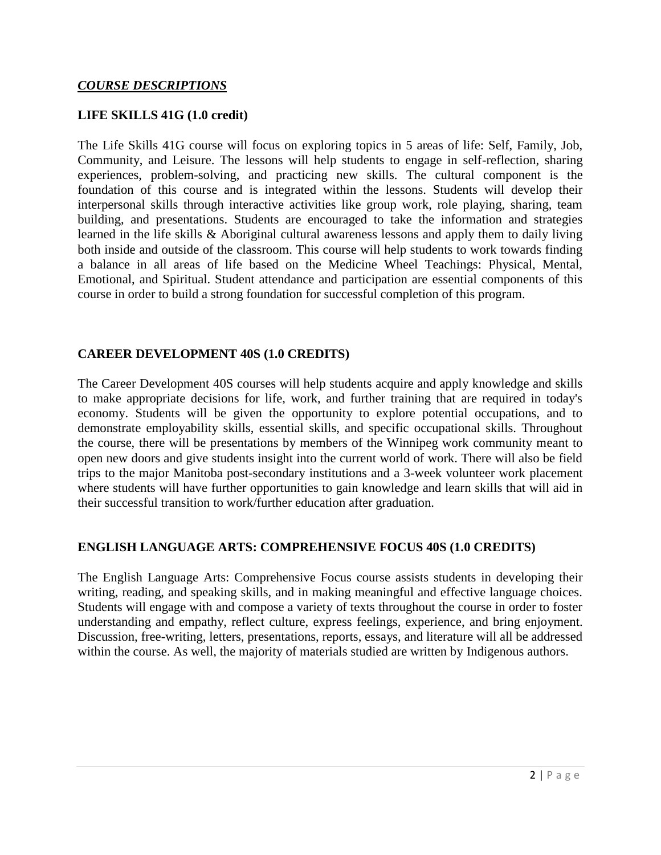#### **LIFE SKILLS 41G (1.0 credit)**

The Life Skills 41G course will focus on exploring topics in 5 areas of life: Self, Family, Job, Community, and Leisure. The lessons will help students to engage in self-reflection, sharing experiences, problem-solving, and practicing new skills. The cultural component is the foundation of this course and is integrated within the lessons. Students will develop their interpersonal skills through interactive activities like group work, role playing, sharing, team building, and presentations. Students are encouraged to take the information and strategies learned in the life skills & Aboriginal cultural awareness lessons and apply them to daily living both inside and outside of the classroom. This course will help students to work towards finding a balance in all areas of life based on the Medicine Wheel Teachings: Physical, Mental, Emotional, and Spiritual. Student attendance and participation are essential components of this course in order to build a strong foundation for successful completion of this program.

#### **CAREER DEVELOPMENT 40S (1.0 CREDITS)**

The Career Development 40S courses will help students acquire and apply knowledge and skills to make appropriate decisions for life, work, and further training that are required in today's economy. Students will be given the opportunity to explore potential occupations, and to demonstrate employability skills, essential skills, and specific occupational skills. Throughout the course, there will be presentations by members of the Winnipeg work community meant to open new doors and give students insight into the current world of work. There will also be field trips to the major Manitoba post-secondary institutions and a 3-week volunteer work placement where students will have further opportunities to gain knowledge and learn skills that will aid in their successful transition to work/further education after graduation.

#### **ENGLISH LANGUAGE ARTS: COMPREHENSIVE FOCUS 40S (1.0 CREDITS)**

The English Language Arts: Comprehensive Focus course assists students in developing their writing, reading, and speaking skills, and in making meaningful and effective language choices. Students will engage with and compose a variety of texts throughout the course in order to foster understanding and empathy, reflect culture, express feelings, experience, and bring enjoyment. Discussion, free-writing, letters, presentations, reports, essays, and literature will all be addressed within the course. As well, the majority of materials studied are written by Indigenous authors.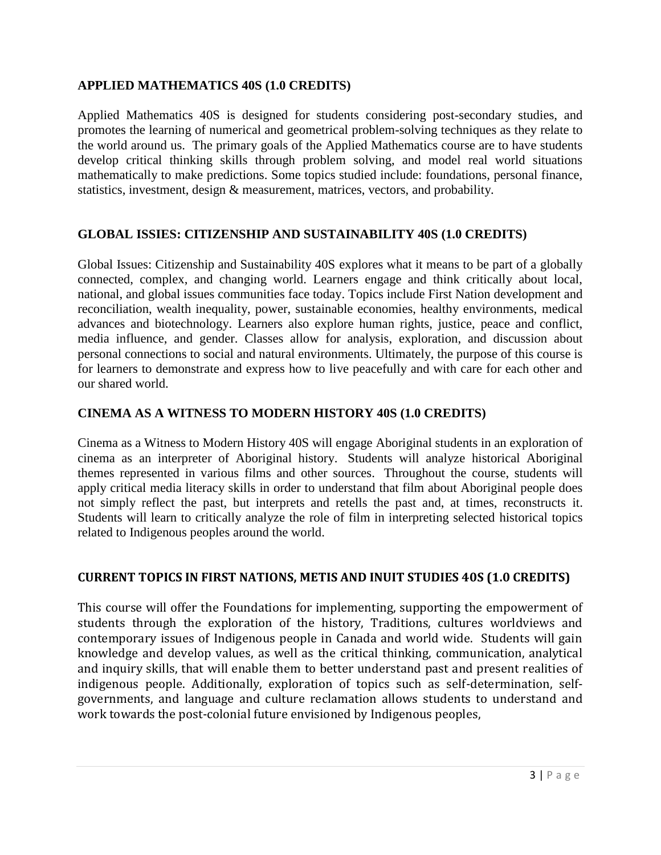### **APPLIED MATHEMATICS 40S (1.0 CREDITS)**

Applied Mathematics 40S is designed for students considering post-secondary studies, and promotes the learning of numerical and geometrical problem-solving techniques as they relate to the world around us. The primary goals of the Applied Mathematics course are to have students develop critical thinking skills through problem solving, and model real world situations mathematically to make predictions. Some topics studied include: foundations, personal finance, statistics, investment, design & measurement, matrices, vectors, and probability.

## **GLOBAL ISSIES: CITIZENSHIP AND SUSTAINABILITY 40S (1.0 CREDITS)**

Global Issues: Citizenship and Sustainability 40S explores what it means to be part of a globally connected, complex, and changing world. Learners engage and think critically about local, national, and global issues communities face today. Topics include First Nation development and reconciliation, wealth inequality, power, sustainable economies, healthy environments, medical advances and biotechnology. Learners also explore human rights, justice, peace and conflict, media influence, and gender. Classes allow for analysis, exploration, and discussion about personal connections to social and natural environments. Ultimately, the purpose of this course is for learners to demonstrate and express how to live peacefully and with care for each other and our shared world.

#### **CINEMA AS A WITNESS TO MODERN HISTORY 40S (1.0 CREDITS)**

Cinema as a Witness to Modern History 40S will engage Aboriginal students in an exploration of cinema as an interpreter of Aboriginal history. Students will analyze historical Aboriginal themes represented in various films and other sources. Throughout the course, students will apply critical media literacy skills in order to understand that film about Aboriginal people does not simply reflect the past, but interprets and retells the past and, at times, reconstructs it. Students will learn to critically analyze the role of film in interpreting selected historical topics related to Indigenous peoples around the world.

#### **CURRENT TOPICS IN FIRST NATIONS, METIS AND INUIT STUDIES 40S (1.0 CREDITS)**

This course will offer the Foundations for implementing, supporting the empowerment of students through the exploration of the history, Traditions, cultures worldviews and contemporary issues of Indigenous people in Canada and world wide. Students will gain knowledge and develop values, as well as the critical thinking, communication, analytical and inquiry skills, that will enable them to better understand past and present realities of indigenous people. Additionally, exploration of topics such as self-determination, selfgovernments, and language and culture reclamation allows students to understand and work towards the post-colonial future envisioned by Indigenous peoples,